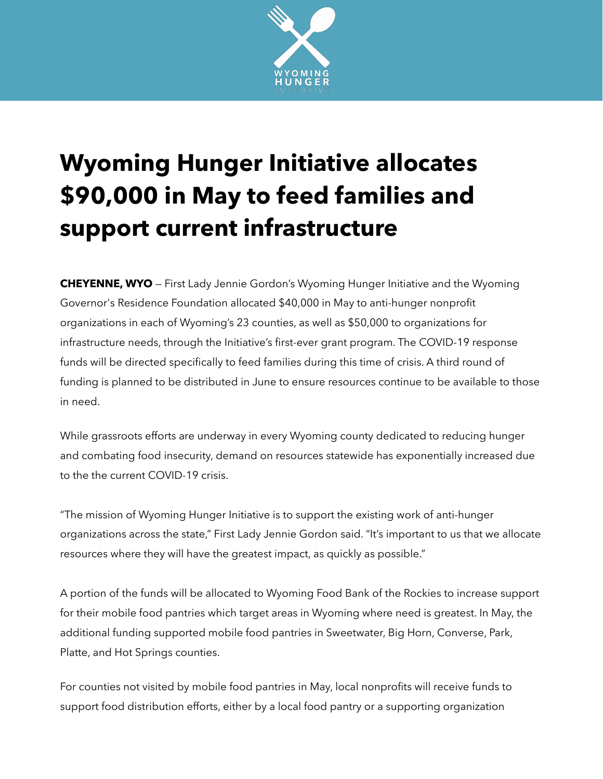

## **Wyoming Hunger Initiative allocates \$90,000 in May to feed families and support current infrastructure**

**CHEYENNE, WYO** — First Lady Jennie Gordon's Wyoming Hunger Initiative and the Wyoming Governor's Residence Foundation allocated \$40,000 in May to anti-hunger nonprofit organizations in each of Wyoming's 23 counties, as well as \$50,000 to organizations for infrastructure needs, through the Initiative's first-ever grant program. The COVID-19 response funds will be directed specifically to feed families during this time of crisis. A third round of funding is planned to be distributed in June to ensure resources continue to be available to those in need.

While grassroots efforts are underway in every Wyoming county dedicated to reducing hunger and combating food insecurity, demand on resources statewide has exponentially increased due to the the current COVID-19 crisis.

"The mission of Wyoming Hunger Initiative is to support the existing work of anti-hunger organizations across the state," First Lady Jennie Gordon said. "It's important to us that we allocate resources where they will have the greatest impact, as quickly as possible."

A portion of the funds will be allocated to Wyoming Food Bank of the Rockies to increase support for their mobile food pantries which target areas in Wyoming where need is greatest. In May, the additional funding supported mobile food pantries in Sweetwater, Big Horn, Converse, Park, Platte, and Hot Springs counties.

For counties not visited by mobile food pantries in May, local nonprofits will receive funds to support food distribution efforts, either by a local food pantry or a supporting organization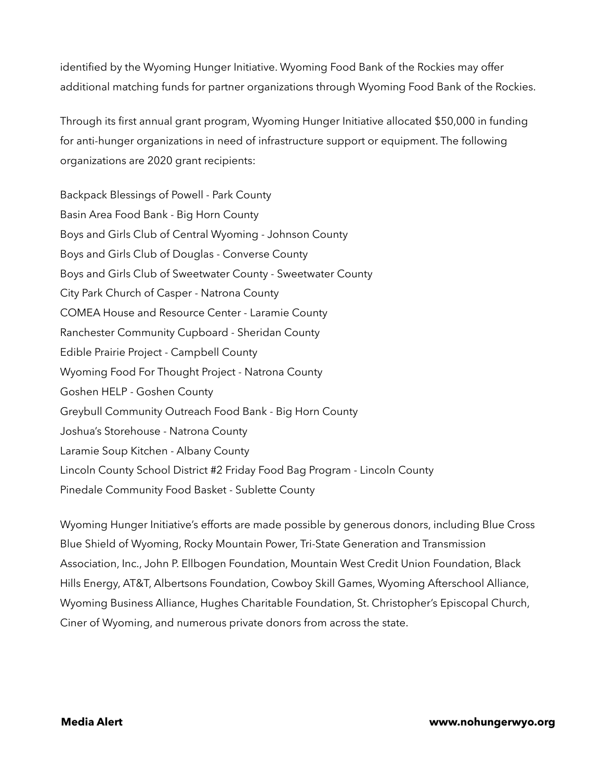identified by the Wyoming Hunger Initiative. Wyoming Food Bank of the Rockies may offer additional matching funds for partner organizations through Wyoming Food Bank of the Rockies.

Through its first annual grant program, Wyoming Hunger Initiative allocated \$50,000 in funding for anti-hunger organizations in need of infrastructure support or equipment. The following organizations are 2020 grant recipients:

Backpack Blessings of Powell - Park County Basin Area Food Bank - Big Horn County Boys and Girls Club of Central Wyoming - Johnson County Boys and Girls Club of Douglas - Converse County Boys and Girls Club of Sweetwater County - Sweetwater County City Park Church of Casper - Natrona County COMEA House and Resource Center - Laramie County Ranchester Community Cupboard - Sheridan County Edible Prairie Project - Campbell County Wyoming Food For Thought Project - Natrona County Goshen HELP - Goshen County Greybull Community Outreach Food Bank - Big Horn County Joshua's Storehouse - Natrona County Laramie Soup Kitchen - Albany County Lincoln County School District #2 Friday Food Bag Program - Lincoln County Pinedale Community Food Basket - Sublette County

Wyoming Hunger Initiative's efforts are made possible by generous donors, including Blue Cross Blue Shield of Wyoming, Rocky Mountain Power, Tri-State Generation and Transmission Association, Inc., John P. Ellbogen Foundation, Mountain West Credit Union Foundation, Black Hills Energy, AT&T, Albertsons Foundation, Cowboy Skill Games, Wyoming Afterschool Alliance, Wyoming Business Alliance, Hughes Charitable Foundation, St. Christopher's Episcopal Church, Ciner of Wyoming, and numerous private donors from across the state.